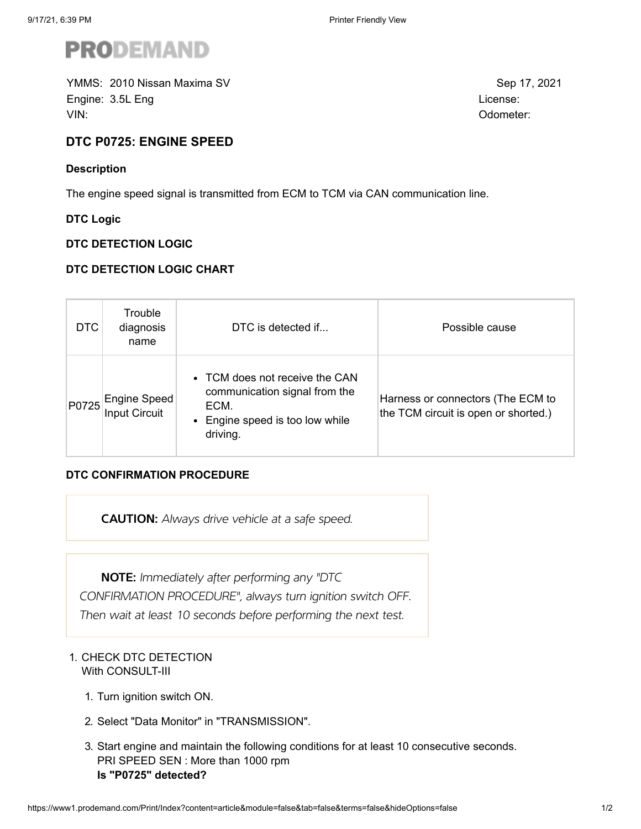

YMMS: Sep 17, 2021 2010 Nissan Maxima SVEngine: 3.5L Eng License: No. 2014 12:30 September 2014 12:30 September 2014 12:30 September 2014 12:30 September 2014 12:30 September 2014 12:30 September 2014 12:30 September 2014 12:30 September 2014 12:30 September 201 VIN: Odometer:

**DTC P0725: ENGINE SPEED**

# **Description**

The engine speed signal is transmitted from ECM to TCM via CAN communication line.

**DTC Logic**

## **DTC DETECTION LOGIC**

## **DTC DETECTION LOGIC CHART**

| DTC. | Trouble<br>diagnosis<br>name | DTC is detected if                                                                                                     | Possible cause                                                            |
|------|------------------------------|------------------------------------------------------------------------------------------------------------------------|---------------------------------------------------------------------------|
|      | P0725 Engine Speed           | • TCM does not receive the CAN<br>communication signal from the<br>ECM.<br>• Engine speed is too low while<br>driving. | Harness or connectors (The ECM to<br>the TCM circuit is open or shorted.) |

### **DTC CONFIRMATION PROCEDURE**

CAUTION: Always drive vehicle at a safe speed.

NOTE: Immediately after performing any "DTC CONFIRMATION PROCEDURE", always turn ignition switch OFF. Then wait at least 10 seconds before performing the next test.

# 1. CHECK DTC DETECTION With CONSULT-III

- 1. Turn ignition switch ON.
- 2. Select "Data Monitor" in "TRANSMISSION".
- 3. Start engine and maintain the following conditions for at least 10 consecutive seconds. PRI SPEED SEN : More than 1000 rpm **Is "P0725" detected?**